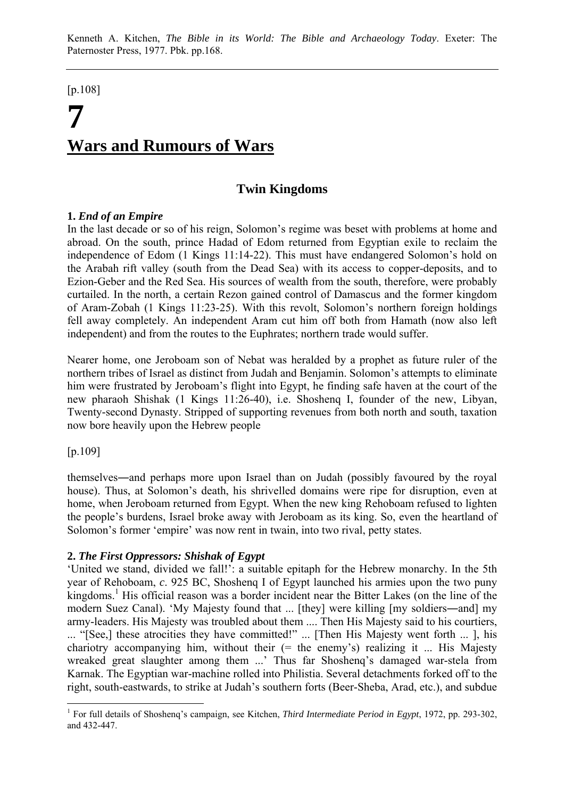[p.108]

# **7 Wars and Rumours of Wars**

# **Twin Kingdoms**

#### **1.** *End of an Empire*

In the last decade or so of his reign, Solomon's regime was beset with problems at home and abroad. On the south, prince Hadad of Edom returned from Egyptian exile to reclaim the independence of Edom (1 Kings 11:14-22). This must have endangered Solomon's hold on the Arabah rift valley (south from the Dead Sea) with its access to copper-deposits, and to Ezion-Geber and the Red Sea. His sources of wealth from the south, therefore, were probably curtailed. In the north, a certain Rezon gained control of Damascus and the former kingdom of Aram-Zobah (1 Kings 11:23-25). With this revolt, Solomon's northern foreign holdings fell away completely. An independent Aram cut him off both from Hamath (now also left independent) and from the routes to the Euphrates; northern trade would suffer.

Nearer home, one Jeroboam son of Nebat was heralded by a prophet as future ruler of the northern tribes of Israel as distinct from Judah and Benjamin. Solomon's attempts to eliminate him were frustrated by Jeroboam's flight into Egypt, he finding safe haven at the court of the new pharaoh Shishak (1 Kings 11:26-40), i.e. Shoshenq I, founder of the new, Libyan, Twenty-second Dynasty. Stripped of supporting revenues from both north and south, taxation now bore heavily upon the Hebrew people

[p.109]

 $\overline{a}$ 

themselves―and perhaps more upon Israel than on Judah (possibly favoured by the royal house). Thus, at Solomon's death, his shrivelled domains were ripe for disruption, even at home, when Jeroboam returned from Egypt. When the new king Rehoboam refused to lighten the people's burdens, Israel broke away with Jeroboam as its king. So, even the heartland of Solomon's former 'empire' was now rent in twain, into two rival, petty states.

#### **2.** *The First Oppressors: Shishak of Egypt*

'United we stand, divided we fall!': a suitable epitaph for the Hebrew monarchy. In the 5th year of Rehoboam, *c*. 925 BC, Shoshenq I of Egypt launched his armies upon the two puny kingdoms.<sup>1</sup> His official reason was a border incident near the Bitter Lakes (on the line of the modern Suez Canal). 'My Majesty found that ... [they] were killing [my soldiers―and] my army-leaders. His Majesty was troubled about them .... Then His Majesty said to his courtiers, ... "[See,] these atrocities they have committed!" ... [Then His Majesty went forth ... ], his chariotry accompanying him, without their  $(=$  the enemy's) realizing it ... His Majesty wreaked great slaughter among them ...' Thus far Shoshenq's damaged war-stela from Karnak. The Egyptian war-machine rolled into Philistia. Several detachments forked off to the right, south-eastwards, to strike at Judah's southern forts (Beer-Sheba, Arad, etc.), and subdue

<sup>&</sup>lt;sup>1</sup> For full details of Shoshenq's campaign, see Kitchen, *Third Intermediate Period in Egypt*, 1972, pp. 293-302, and 432-447.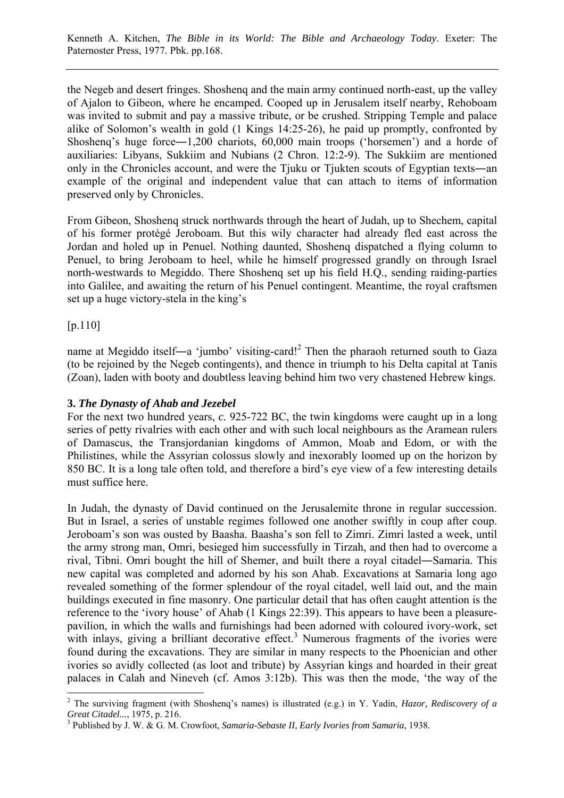the Negeb and desert fringes. Shoshenq and the main army continued north-east, up the valley of Ajalon to Gibeon, where he encamped. Cooped up in Jerusalem itself nearby, Rehoboam was invited to submit and pay a massive tribute, or be crushed. Stripping Temple and palace alike of Solomon's wealth in gold (1 Kings 14:25-26), he paid up promptly, confronted by Shoshenq's huge force―1,200 chariots, 60,000 main troops ('horsemen') and a horde of auxiliaries: Libyans, Sukkiim and Nubians (2 Chron. 12:2-9). The Sukkiim are mentioned only in the Chronicles account, and were the Tjuku or Tjukten scouts of Egyptian texts―an example of the original and independent value that can attach to items of information preserved only by Chronicles.

From Gibeon, Shoshenq struck northwards through the heart of Judah, up to Shechem, capital of his former protégé Jeroboam. But this wily character had already fled east across the Jordan and holed up in Penuel. Nothing daunted, Shoshenq dispatched a flying column to Penuel, to bring Jeroboam to heel, while he himself progressed grandly on through Israel north-westwards to Megiddo. There Shoshenq set up his field H.Q., sending raiding-parties into Galilee, and awaiting the return of his Penuel contingent. Meantime, the royal craftsmen set up a huge victory-stela in the king's

[p.110]

 $\overline{a}$ 

name at Megiddo itself—a 'jumbo' visiting-card!<sup>2</sup> Then the pharaoh returned south to Gaza (to be rejoined by the Negeb contingents), and thence in triumph to his Delta capital at Tanis (Zoan), laden with booty and doubtless leaving behind him two very chastened Hebrew kings.

## **3.** *The Dynasty of Ahab and Jezebel*

For the next two hundred years, *c.* 925-722 BC, the twin kingdoms were caught up in a long series of petty rivalries with each other and with such local neighbours as the Aramean rulers of Damascus, the Transjordanian kingdoms of Ammon, Moab and Edom, or with the Philistines, while the Assyrian colossus slowly and inexorably loomed up on the horizon by 850 BC. It is a long tale often told, and therefore a bird's eye view of a few interesting details must suffice here.

In Judah, the dynasty of David continued on the Jerusalemite throne in regular succession. But in Israel, a series of unstable regimes followed one another swiftly in coup after coup. Jeroboam's son was ousted by Baasha. Baasha's son fell to Zimri. Zimri lasted a week, until the army strong man, Omri, besieged him successfully in Tirzah, and then had to overcome a rival, Tibni. Omri bought the hill of Shemer, and built there a royal citadel―Samaria. This new capital was completed and adorned by his son Ahab. Excavations at Samaria long ago revealed something of the former splendour of the royal citadel, well laid out, and the main buildings executed in fine masonry. One particular detail that has often caught attention is the reference to the 'ivory house' of Ahab (1 Kings 22:39). This appears to have been a pleasurepavilion, in which the walls and furnishings had been adorned with coloured ivory-work, set with inlays, giving a brilliant decorative effect.<sup>3</sup> Numerous fragments of the ivories were found during the excavations. They are similar in many respects to the Phoenician and other ivories so avidly collected (as loot and tribute) by Assyrian kings and hoarded in their great palaces in Calah and Nineveh (cf. Amos 3:12b). This was then the mode, 'the way of the

<sup>2</sup> The surviving fragment (with Shoshenq's names) is illustrated (e.g.) in Y. Yadin, *Hazor, Rediscovery of a Great Citadel...*, 1975, p. 216. 3

Published by J. W. & G. M. Crowfoot, *Samaria-Sebaste II, Early Ivories from Samaria*, 1938.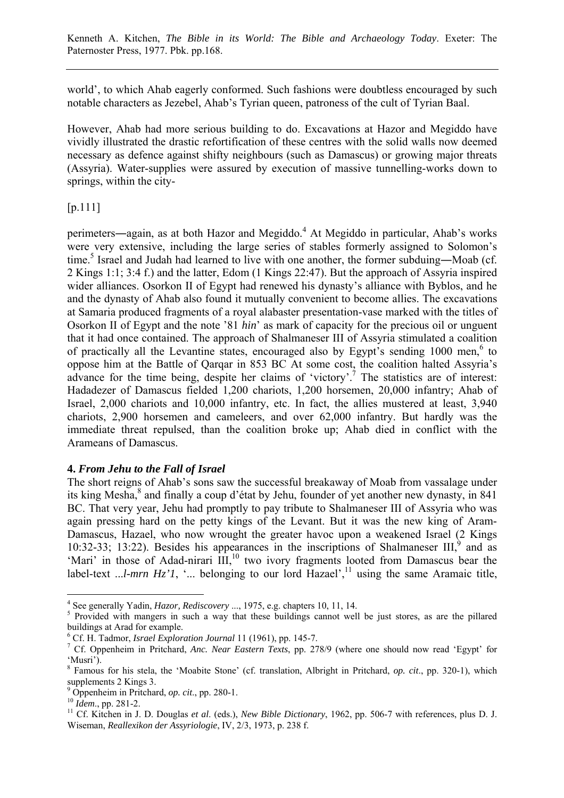world', to which Ahab eagerly conformed. Such fashions were doubtless encouraged by such notable characters as Jezebel, Ahab's Tyrian queen, patroness of the cult of Tyrian Baal.

However, Ahab had more serious building to do. Excavations at Hazor and Megiddo have vividly illustrated the drastic refortification of these centres with the solid walls now deemed necessary as defence against shifty neighbours (such as Damascus) or growing major threats (Assyria). Water-supplies were assured by execution of massive tunnelling-works down to springs, within the city-

[p.111]

perimeters—again, as at both Hazor and Megiddo.<sup>4</sup> At Megiddo in particular, Ahab's works were very extensive, including the large series of stables formerly assigned to Solomon's time.<sup>5</sup> Israel and Judah had learned to live with one another, the former subduing—Moab (cf. 2 Kings 1:1; 3:4 f.) and the latter, Edom (1 Kings 22:47). But the approach of Assyria inspired wider alliances. Osorkon II of Egypt had renewed his dynasty's alliance with Byblos, and he and the dynasty of Ahab also found it mutually convenient to become allies. The excavations at Samaria produced fragments of a royal alabaster presentation-vase marked with the titles of Osorkon II of Egypt and the note '81 *hin*' as mark of capacity for the precious oil or unguent that it had once contained. The approach of Shalmaneser III of Assyria stimulated a coalition of practically all the Levantine states, encouraged also by Egypt's sending 1000 men,<sup>6</sup> to oppose him at the Battle of Qarqar in 853 BC At some cost, the coalition halted Assyria's advance for the time being, despite her claims of 'victory'.<sup>7</sup> The statistics are of interest: Hadadezer of Damascus fielded 1,200 chariots, 1,200 horsemen, 20,000 infantry; Ahab of Israel, 2,000 chariots and 10,000 infantry, etc. In fact, the allies mustered at least, 3,940 chariots, 2,900 horsemen and cameleers, and over 62,000 infantry. But hardly was the immediate threat repulsed, than the coalition broke up; Ahab died in conflict with the Arameans of Damascus.

## **4.** *From Jehu to the Fall of Israel*

The short reigns of Ahab's sons saw the successful breakaway of Moab from vassalage under its king Mesha,<sup>8</sup> and finally a coup d'état by Jehu, founder of yet another new dynasty, in 841 BC. That very year, Jehu had promptly to pay tribute to Shalmaneser III of Assyria who was again pressing hard on the petty kings of the Levant. But it was the new king of Aram-Damascus, Hazael, who now wrought the greater havoc upon a weakened Israel (2 Kings 10:32-33; 13:22). Besides his appearances in the inscriptions of Shalmaneser III,<sup>9</sup> and as 'Mari' in those of Adad-nirari III,<sup>10</sup> two ivory fragments looted from Damascus bear the label-text ...*l-mrn Hz'l*, '... belonging to our lord Hazael',<sup>11</sup> using the same Aramaic title,

 $\overline{a}$ <sup>4</sup> See generally Yadin, *Hazor, Rediscovery* ..., 1975, e.g. chapters 10, 11, 14.  $\frac{5}{2}$  Provided with mangers in such a way that these huildings cannot well.

<sup>&</sup>lt;sup>5</sup> Provided with mangers in such a way that these buildings cannot well be just stores, as are the pillared buildings at Arad for example.

<sup>&</sup>lt;sup>6</sup> Cf. H. Tadmor, *Israel Exploration Journal* 11 (1961), pp. 145-7.

<sup>&</sup>lt;sup>7</sup> Cf. Oppenheim in Pritchard, *Anc. Near Eastern Texts*, pp. 278/9 (where one should now read 'Egypt' for 'Musri').

<sup>8</sup> Famous for his stela, the 'Moabite Stone' (cf. translation, Albright in Pritchard, *op. cit*., pp. 320-1), which supplements 2 Kings 3.

<sup>&</sup>lt;sup>9</sup> Oppenheim in Pritchard, *op. cit.*, pp. 280-1.

<sup>&</sup>lt;sup>10</sup> *Idem.*, pp. 281-2.<br><sup>11</sup> Cf. Kitchen in J. D. Douglas *et al.* (eds.), *New Bible Dictionary*, 1962, pp. 506-7 with references, plus D. J. Wiseman, *Reallexikon der Assyriologie*, IV, 2/3, 1973, p. 238 f.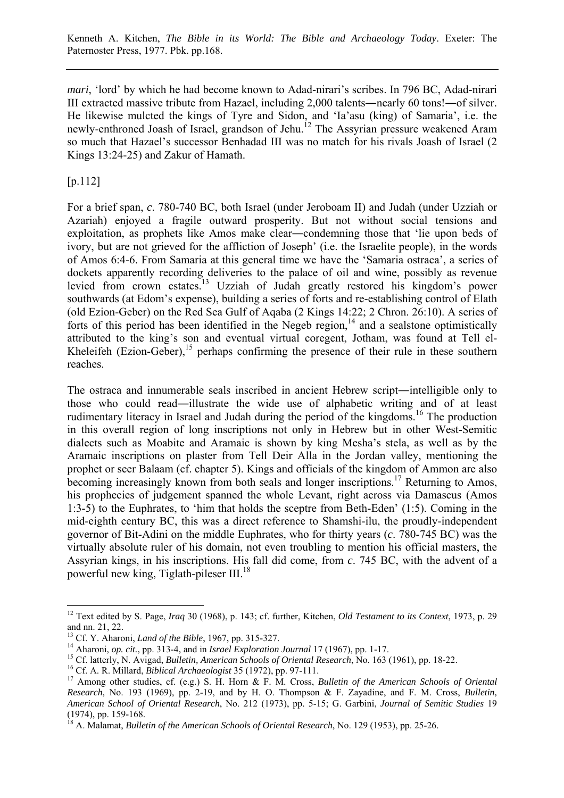*mari*, 'lord' by which he had become known to Adad-nirari's scribes. In 796 BC, Adad-nirari III extracted massive tribute from Hazael, including 2,000 talents―nearly 60 tons!―of silver. He likewise mulcted the kings of Tyre and Sidon, and 'Ia'asu (king) of Samaria', i.e. the newly-enthroned Joash of Israel, grandson of Jehu.<sup>12</sup> The Assyrian pressure weakened Aram so much that Hazael's successor Benhadad III was no match for his rivals Joash of Israel (2 Kings 13:24-25) and Zakur of Hamath.

[p.112]

 $\overline{a}$ 

For a brief span, *c*. 780-740 BC, both Israel (under Jeroboam II) and Judah (under Uzziah or Azariah) enjoyed a fragile outward prosperity. But not without social tensions and exploitation, as prophets like Amos make clear―condemning those that 'lie upon beds of ivory, but are not grieved for the affliction of Joseph' (i.e. the Israelite people), in the words of Amos 6:4-6. From Samaria at this general time we have the 'Samaria ostraca', a series of dockets apparently recording deliveries to the palace of oil and wine, possibly as revenue levied from crown estates.13 Uzziah of Judah greatly restored his kingdom's power southwards (at Edom's expense), building a series of forts and re-establishing control of Elath (old Ezion-Geber) on the Red Sea Gulf of Aqaba (2 Kings 14:22; 2 Chron. 26:10). A series of forts of this period has been identified in the Negeb region,  $^{14}$  and a sealstone optimistically attributed to the king's son and eventual virtual coregent, Jotham, was found at Tell el-Kheleifeh (Ezion-Geber), $15$  perhaps confirming the presence of their rule in these southern reaches.

The ostraca and innumerable seals inscribed in ancient Hebrew script―intelligible only to those who could read―illustrate the wide use of alphabetic writing and of at least rudimentary literacy in Israel and Judah during the period of the kingdoms.<sup>16</sup> The production in this overall region of long inscriptions not only in Hebrew but in other West-Semitic dialects such as Moabite and Aramaic is shown by king Mesha's stela, as well as by the Aramaic inscriptions on plaster from Tell Deir Alla in the Jordan valley, mentioning the prophet or seer Balaam (cf. chapter 5). Kings and officials of the kingdom of Ammon are also becoming increasingly known from both seals and longer inscriptions.<sup>17</sup> Returning to Amos, his prophecies of judgement spanned the whole Levant, right across via Damascus (Amos 1:3-5) to the Euphrates, to 'him that holds the sceptre from Beth-Eden' (1:5). Coming in the mid-eighth century BC, this was a direct reference to Shamshi-ilu, the proudly-independent governor of Bit-Adini on the middle Euphrates, who for thirty years (*c*. 780-745 BC) was the virtually absolute ruler of his domain, not even troubling to mention his official masters, the Assyrian kings, in his inscriptions. His fall did come, from *c*. 745 BC, with the advent of a powerful new king, Tiglath-pileser III.18

<sup>12</sup> Text edited by S. Page, *Iraq* 30 (1968), p. 143; cf. further, Kitchen, *Old Testament to its Context*, 1973, p. 29 and nn. 21, 22.<br><sup>13</sup> Cf. Y. Aharoni, *Land of the Bible*, 1967, pp. 315-327.

<sup>&</sup>lt;sup>14</sup> Aharoni, *op. cit.*, pp. 313-4, and in *Israel Exploration Journal* 17 (1967), pp. 1-17.<br><sup>15</sup> Cf. latterly, N. Avigad, *Bulletin, American Schools of Oriental Research*, No. 163 (1961), pp. 18-22.<br><sup>16</sup> Cf. A. R. Mill *Research*, No. 193 (1969), pp. 2-19, and by H. O. Thompson & F. Zayadine, and F. M. Cross, *Bulletin, American School of Oriental Research*, No. 212 (1973), pp. 5-15; G. Garbini, *Journal of Semitic Studies* 19 (1974), pp. 159-168.

<sup>18</sup> A. Malamat, *Bulletin of the American Schools of Oriental Research*, No. 129 (1953), pp. 25-26.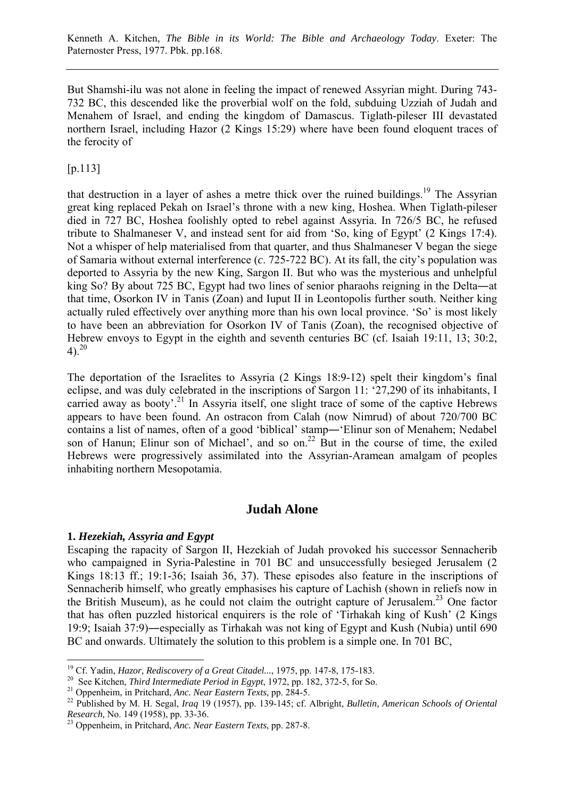But Shamshi-ilu was not alone in feeling the impact of renewed Assyrian might. During 743- 732 BC, this descended like the proverbial wolf on the fold, subduing Uzziah of Judah and Menahem of Israel, and ending the kingdom of Damascus. Tiglath-pileser III devastated northern Israel, including Hazor (2 Kings 15:29) where have been found eloquent traces of the ferocity of

[p.113]

that destruction in a layer of ashes a metre thick over the ruined buildings.<sup>19</sup> The Assyrian great king replaced Pekah on Israel's throne with a new king, Hoshea. When Tiglath-pileser died in 727 BC, Hoshea foolishly opted to rebel against Assyria. In 726/5 BC, he refused tribute to Shalmaneser V, and instead sent for aid from 'So, king of Egypt' (2 Kings 17:4). Not a whisper of help materialised from that quarter, and thus Shalmaneser V began the siege of Samaria without external interference (*c*. 725-722 BC). At its fall, the city's population was deported to Assyria by the new King, Sargon II. But who was the mysterious and unhelpful king So? By about 725 BC. Egypt had two lines of senior pharaohs reigning in the Delta—at that time, Osorkon IV in Tanis (Zoan) and Iuput II in Leontopolis further south. Neither king actually ruled effectively over anything more than his own local province. 'So' is most likely to have been an abbreviation for Osorkon IV of Tanis (Zoan), the recognised objective of Hebrew envoys to Egypt in the eighth and seventh centuries BC (cf. Isaiah 19:11, 13; 30:2,  $4)$ <sup>20</sup>

The deportation of the Israelites to Assyria (2 Kings 18:9-12) spelt their kingdom's final eclipse, and was duly celebrated in the inscriptions of Sargon 11: '27,290 of its inhabitants, I carried away as booty'.<sup>21</sup> In Assyria itself, one slight trace of some of the captive Hebrews appears to have been found. An ostracon from Calah (now Nimrud) of about 720/700 BC contains a list of names, often of a good 'biblical' stamp―'Elinur son of Menahem; Nedabel son of Hanun; Elinur son of Michael', and so on.<sup>22</sup> But in the course of time, the exiled Hebrews were progressively assimilated into the Assyrian-Aramean amalgam of peoples inhabiting northern Mesopotamia.

# **Judah Alone**

## **1.** *Hezekiah, Assyria and Egypt*

 $\overline{a}$ 

Escaping the rapacity of Sargon II, Hezekiah of Judah provoked his successor Sennacherib who campaigned in Syria-Palestine in 701 BC and unsuccessfully besieged Jerusalem (2 Kings 18:13 ff.; 19:1-36; Isaiah 36, 37). These episodes also feature in the inscriptions of Sennacherib himself, who greatly emphasises his capture of Lachish (shown in reliefs now in the British Museum), as he could not claim the outright capture of Jerusalem.<sup>23</sup> One factor that has often puzzled historical enquirers is the role of 'Tirhakah king of Kush' (2 Kings 19:9; Isaiah 37:9)―especially as Tirhakah was not king of Egypt and Kush (Nubia) until 690 BC and onwards. Ultimately the solution to this problem is a simple one. In 701 BC,

<sup>&</sup>lt;sup>19</sup> Cf. Yadin, *Hazor, Rediscovery of a Great Citadel...*, 1975, pp. 147-8, 175-183.<br><sup>20</sup> See Kitchen, *Third Intermediate Period in Egypt*, 1972, pp. 182, 372-5, for So.<br><sup>21</sup> Oppenheim, in Pritchard, *Anc. Near Eastern* 

<sup>&</sup>lt;sup>23</sup> Oppenheim, in Pritchard, *Anc. Near Eastern Texts*, pp. 287-8.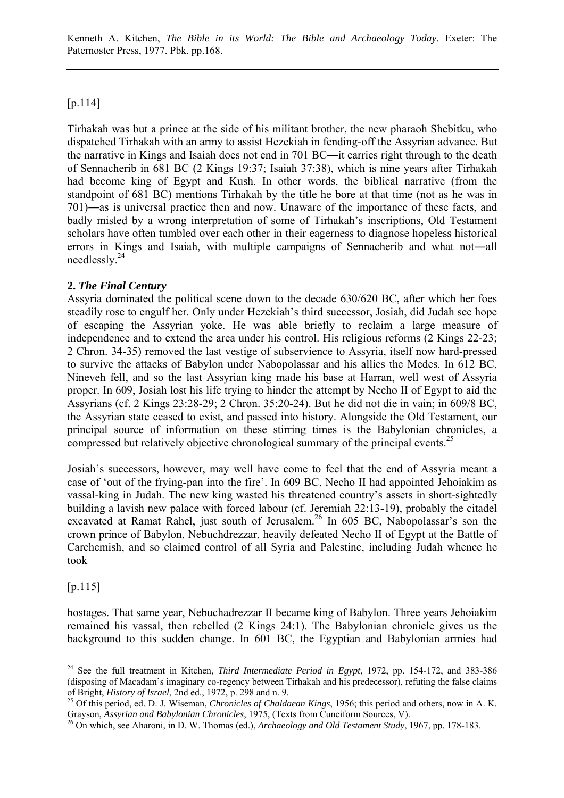## [p.114]

Tirhakah was but a prince at the side of his militant brother, the new pharaoh Shebitku, who dispatched Tirhakah with an army to assist Hezekiah in fending-off the Assyrian advance. But the narrative in Kings and Isaiah does not end in 701 BC―it carries right through to the death of Sennacherib in 681 BC (2 Kings 19:37; Isaiah 37:38), which is nine years after Tirhakah had become king of Egypt and Kush. In other words, the biblical narrative (from the standpoint of 681 BC) mentions Tirhakah by the title he bore at that time (not as he was in 701)―as is universal practice then and now. Unaware of the importance of these facts, and badly misled by a wrong interpretation of some of Tirhakah's inscriptions, Old Testament scholars have often tumbled over each other in their eagerness to diagnose hopeless historical errors in Kings and Isaiah, with multiple campaigns of Sennacherib and what not―all needlessly.24

## **2.** *The Final Century*

Assyria dominated the political scene down to the decade 630/620 BC, after which her foes steadily rose to engulf her. Only under Hezekiah's third successor, Josiah, did Judah see hope of escaping the Assyrian yoke. He was able briefly to reclaim a large measure of independence and to extend the area under his control. His religious reforms (2 Kings 22-23; 2 Chron. 34-35) removed the last vestige of subservience to Assyria, itself now hard-pressed to survive the attacks of Babylon under Nabopolassar and his allies the Medes. In 612 BC, Nineveh fell, and so the last Assyrian king made his base at Harran, well west of Assyria proper. In 609, Josiah lost his life trying to hinder the attempt by Necho II of Egypt to aid the Assyrians (cf. 2 Kings 23:28-29; 2 Chron. 35:20-24). But he did not die in vain; in 609/8 BC, the Assyrian state ceased to exist, and passed into history. Alongside the Old Testament, our principal source of information on these stirring times is the Babylonian chronicles, a compressed but relatively objective chronological summary of the principal events.<sup>25</sup>

Josiah's successors, however, may well have come to feel that the end of Assyria meant a case of 'out of the frying-pan into the fire'. In 609 BC, Necho II had appointed Jehoiakim as vassal-king in Judah. The new king wasted his threatened country's assets in short-sightedly building a lavish new palace with forced labour (cf. Jeremiah 22:13-19), probably the citadel excavated at Ramat Rahel, just south of Jerusalem.<sup>26</sup> In 605 BC, Nabopolassar's son the crown prince of Babylon, Nebuchdrezzar, heavily defeated Necho II of Egypt at the Battle of Carchemish, and so claimed control of all Syria and Palestine, including Judah whence he took

 $[p.115]$ 

 $\overline{a}$ 

hostages. That same year, Nebuchadrezzar II became king of Babylon. Three years Jehoiakim remained his vassal, then rebelled (2 Kings 24:1). The Babylonian chronicle gives us the background to this sudden change. In 601 BC, the Egyptian and Babylonian armies had

<sup>24</sup> See the full treatment in Kitchen, *Third Intermediate Period in Egypt*, 1972, pp. 154-172, and 383-386 (disposing of Macadam's imaginary co-regency between Tirhakah and his predecessor), refuting the false claims of Bright, History of Israel, 2nd ed., 1972, p. 298 and n. 9.

<sup>&</sup>lt;sup>25</sup> Of this period, ed. D. J. Wiseman, *Chronicles of Chaldaean Kings*, 1956; this period and others, now in A. K. Grayson, *Assyrian and Babylonian Chronicles*, 1975, (Texts from Cuneiform Sources, V).

<sup>&</sup>lt;sup>26</sup> On which, see Aharoni, in D. W. Thomas (ed.), *Archaeology and Old Testament Study*, 1967, pp. 178-183.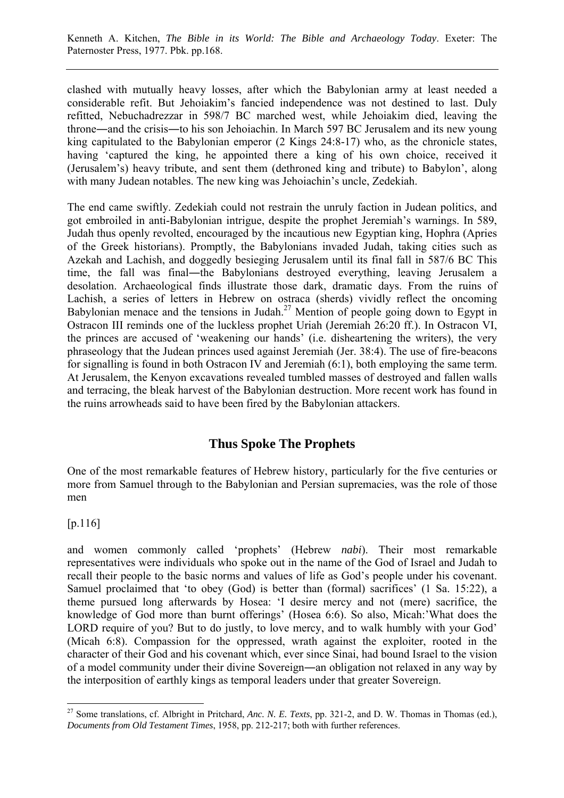clashed with mutually heavy losses, after which the Babylonian army at least needed a considerable refit. But Jehoiakim's fancied independence was not destined to last. Duly refitted, Nebuchadrezzar in 598/7 BC marched west, while Jehoiakim died, leaving the throne―and the crisis―to his son Jehoiachin. In March 597 BC Jerusalem and its new young king capitulated to the Babylonian emperor (2 Kings 24:8-17) who, as the chronicle states, having 'captured the king, he appointed there a king of his own choice, received it (Jerusalem's) heavy tribute, and sent them (dethroned king and tribute) to Babylon', along with many Judean notables. The new king was Jehoiachin's uncle, Zedekiah.

The end came swiftly. Zedekiah could not restrain the unruly faction in Judean politics, and got embroiled in anti-Babylonian intrigue, despite the prophet Jeremiah's warnings. In 589, Judah thus openly revolted, encouraged by the incautious new Egyptian king, Hophra (Apries of the Greek historians). Promptly, the Babylonians invaded Judah, taking cities such as Azekah and Lachish, and doggedly besieging Jerusalem until its final fall in 587/6 BC This time, the fall was final―the Babylonians destroyed everything, leaving Jerusalem a desolation. Archaeological finds illustrate those dark, dramatic days. From the ruins of Lachish, a series of letters in Hebrew on ostraca (sherds) vividly reflect the oncoming Babylonian menace and the tensions in Judah.<sup>27</sup> Mention of people going down to Egypt in Ostracon III reminds one of the luckless prophet Uriah (Jeremiah 26:20 ff.). In Ostracon VI, the princes are accused of 'weakening our hands' (i.e. disheartening the writers), the very phraseology that the Judean princes used against Jeremiah (Jer. 38:4). The use of fire-beacons for signalling is found in both Ostracon IV and Jeremiah (6:1), both employing the same term. At Jerusalem, the Kenyon excavations revealed tumbled masses of destroyed and fallen walls and terracing, the bleak harvest of the Babylonian destruction. More recent work has found in the ruins arrowheads said to have been fired by the Babylonian attackers.

# **Thus Spoke The Prophets**

One of the most remarkable features of Hebrew history, particularly for the five centuries or more from Samuel through to the Babylonian and Persian supremacies, was the role of those men

[p.116]

 $\overline{a}$ 

and women commonly called 'prophets' (Hebrew *nabi*). Their most remarkable representatives were individuals who spoke out in the name of the God of Israel and Judah to recall their people to the basic norms and values of life as God's people under his covenant. Samuel proclaimed that 'to obey (God) is better than (formal) sacrifices' (1 Sa. 15:22), a theme pursued long afterwards by Hosea: 'I desire mercy and not (mere) sacrifice, the knowledge of God more than burnt offerings' (Hosea 6:6). So also, Micah:'What does the LORD require of you? But to do justly, to love mercy, and to walk humbly with your God' (Micah 6:8). Compassion for the oppressed, wrath against the exploiter, rooted in the character of their God and his covenant which, ever since Sinai, had bound Israel to the vision of a model community under their divine Sovereign―an obligation not relaxed in any way by the interposition of earthly kings as temporal leaders under that greater Sovereign.

<sup>&</sup>lt;sup>27</sup> Some translations, cf. Albright in Pritchard, *Anc. N. E. Texts*, pp. 321-2, and D. W. Thomas in Thomas (ed.), *Documents from Old Testament Times*, 1958, pp. 212-217; both with further references.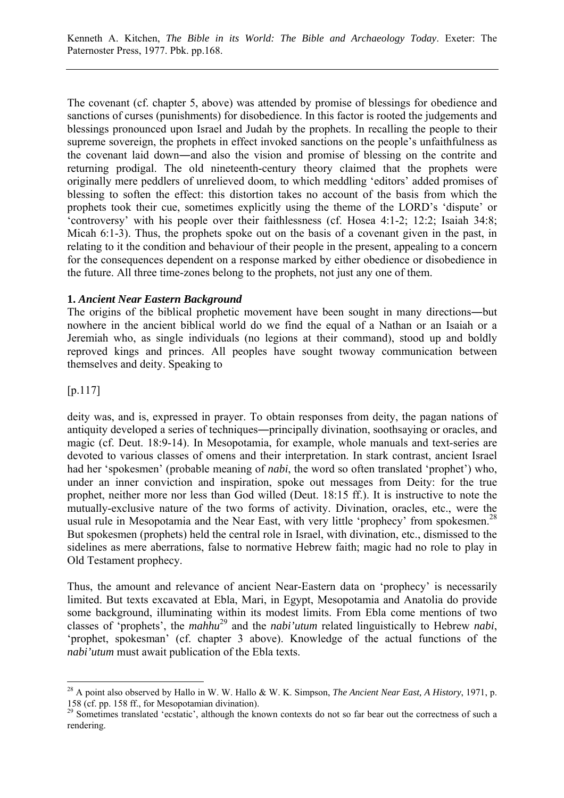The covenant (cf. chapter 5, above) was attended by promise of blessings for obedience and sanctions of curses (punishments) for disobedience. In this factor is rooted the judgements and blessings pronounced upon Israel and Judah by the prophets. In recalling the people to their supreme sovereign, the prophets in effect invoked sanctions on the people's unfaithfulness as the covenant laid down―and also the vision and promise of blessing on the contrite and returning prodigal. The old nineteenth-century theory claimed that the prophets were originally mere peddlers of unrelieved doom, to which meddling 'editors' added promises of blessing to soften the effect: this distortion takes no account of the basis from which the prophets took their cue, sometimes explicitly using the theme of the LORD's 'dispute' or 'controversy' with his people over their faithlessness (cf. Hosea 4:1-2; 12:2; Isaiah 34:8; Micah 6:1-3). Thus, the prophets spoke out on the basis of a covenant given in the past, in relating to it the condition and behaviour of their people in the present, appealing to a concern for the consequences dependent on a response marked by either obedience or disobedience in the future. All three time-zones belong to the prophets, not just any one of them.

#### **1.** *Ancient Near Eastern Background*

The origins of the biblical prophetic movement have been sought in many directions―but nowhere in the ancient biblical world do we find the equal of a Nathan or an Isaiah or a Jeremiah who, as single individuals (no legions at their command), stood up and boldly reproved kings and princes. All peoples have sought twoway communication between themselves and deity. Speaking to

[p.117]

 $\overline{a}$ 

deity was, and is, expressed in prayer. To obtain responses from deity, the pagan nations of antiquity developed a series of techniques―principally divination, soothsaying or oracles, and magic (cf. Deut. 18:9-14). In Mesopotamia, for example, whole manuals and text-series are devoted to various classes of omens and their interpretation. In stark contrast, ancient Israel had her 'spokesmen' (probable meaning of *nabi*, the word so often translated 'prophet') who, under an inner conviction and inspiration, spoke out messages from Deity: for the true prophet, neither more nor less than God willed (Deut. 18:15 ff.). It is instructive to note the mutually-exclusive nature of the two forms of activity. Divination, oracles, etc., were the usual rule in Mesopotamia and the Near East, with very little 'prophecy' from spokesmen.<sup>28</sup> But spokesmen (prophets) held the central role in Israel, with divination, etc., dismissed to the sidelines as mere aberrations, false to normative Hebrew faith; magic had no role to play in Old Testament prophecy.

Thus, the amount and relevance of ancient Near-Eastern data on 'prophecy' is necessarily limited. But texts excavated at Ebla, Mari, in Egypt, Mesopotamia and Anatolia do provide some background, illuminating within its modest limits. From Ebla come mentions of two classes of 'prophets', the *mahhu*29 and the *nabi'utum* related linguistically to Hebrew *nabi*, 'prophet, spokesman' (cf. chapter 3 above). Knowledge of the actual functions of the *nabi'utum* must await publication of the Ebla texts.

<sup>28</sup> A point also observed by Hallo in W. W. Hallo & W. K. Simpson, *The Ancient Near East, A History*, 1971, p. 158 (cf. pp. 158 ff., for Mesopotamian divination).

<sup>&</sup>lt;sup>29</sup> Sometimes translated 'ecstatic', although the known contexts do not so far bear out the correctness of such a rendering.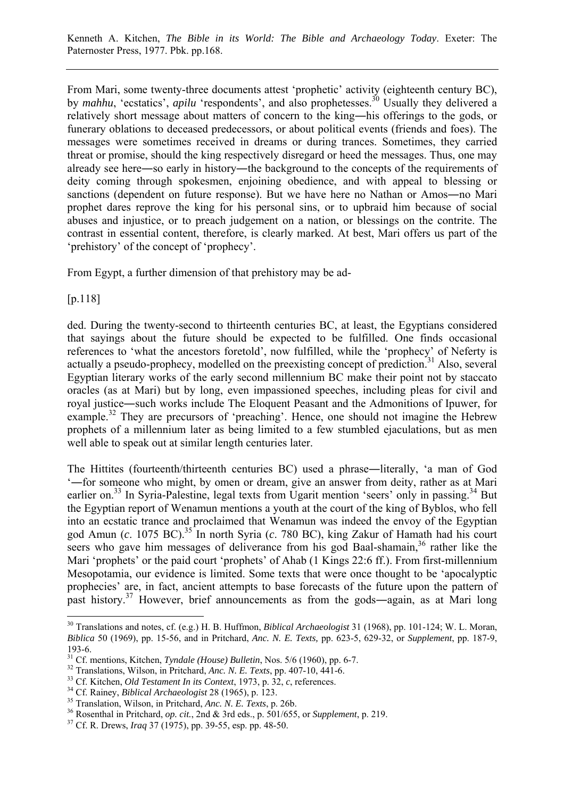From Mari, some twenty-three documents attest 'prophetic' activity (eighteenth century BC), by *mahhu*, 'ecstatics', *apilu* 'respondents', and also prophetesses.<sup>30</sup> Usually they delivered a relatively short message about matters of concern to the king―his offerings to the gods, or funerary oblations to deceased predecessors, or about political events (friends and foes). The messages were sometimes received in dreams or during trances. Sometimes, they carried threat or promise, should the king respectively disregard or heed the messages. Thus, one may already see here―so early in history―the background to the concepts of the requirements of deity coming through spokesmen, enjoining obedience, and with appeal to blessing or sanctions (dependent on future response). But we have here no Nathan or Amos—no Mari prophet dares reprove the king for his personal sins, or to upbraid him because of social abuses and injustice, or to preach judgement on a nation, or blessings on the contrite. The contrast in essential content, therefore, is clearly marked. At best, Mari offers us part of the 'prehistory' of the concept of 'prophecy'.

From Egypt, a further dimension of that prehistory may be ad-

[p.118]

 $\overline{a}$ 

ded. During the twenty-second to thirteenth centuries BC, at least, the Egyptians considered that sayings about the future should be expected to be fulfilled. One finds occasional references to 'what the ancestors foretold', now fulfilled, while the 'prophecy' of Neferty is actually a pseudo-prophecy, modelled on the preexisting concept of prediction.<sup>31</sup> Also, several Egyptian literary works of the early second millennium BC make their point not by staccato oracles (as at Mari) but by long, even impassioned speeches, including pleas for civil and royal justice―such works include The Eloquent Peasant and the Admonitions of Ipuwer, for example.<sup>32</sup> They are precursors of 'preaching'. Hence, one should not imagine the Hebrew prophets of a millennium later as being limited to a few stumbled ejaculations, but as men well able to speak out at similar length centuries later.

The Hittites (fourteenth/thirteenth centuries BC) used a phrase―literally, 'a man of God '―for someone who might, by omen or dream, give an answer from deity, rather as at Mari earlier on.<sup>33</sup> In Syria-Palestine, legal texts from Ugarit mention 'seers' only in passing.<sup>34</sup> But the Egyptian report of Wenamun mentions a youth at the court of the king of Byblos, who fell into an ecstatic trance and proclaimed that Wenamun was indeed the envoy of the Egyptian god Amun (*c*. 1075 BC).<sup>35</sup> In north Syria (*c*. 780 BC), king Zakur of Hamath had his court seers who gave him messages of deliverance from his god Baal-shamain,  $36$  rather like the Mari 'prophets' or the paid court 'prophets' of Ahab (1 Kings 22:6 ff.). From first-millennium Mesopotamia, our evidence is limited. Some texts that were once thought to be 'apocalyptic prophecies' are, in fact, ancient attempts to base forecasts of the future upon the pattern of past history.<sup>37</sup> However, brief announcements as from the gods—again, as at Mari long

<sup>30</sup> Translations and notes, cf. (e.g.) H. B. Huffmon, *Biblical Archaeologist* 31 (1968), pp. 101-124; W. L. Moran, *Biblica* 50 (1969), pp. 15-56, and in Pritchard, *Anc. N. E. Texts,* pp. 623-5, 629-32, or *Supplement*, pp. 187-9,

<sup>193-6.&</sup>lt;br><sup>31</sup> Cf. mentions, Kitchen, *Tyndale (House) Bulletin*, Nos.  $5/6$  (1960), pp. 6-7.

<sup>&</sup>lt;sup>32</sup> Translations, Wilson, in Pritchard, *Anc. N. E. Texts*, pp. 407-10, 441-6.<br><sup>33</sup> Cf. Kitchen, *Old Testament In its Context*, 1973, p. 32, *c*, references.<br><sup>34</sup> Cf. Rainey, *Biblical Archaeologist* 28 (1965), p. 123.<br>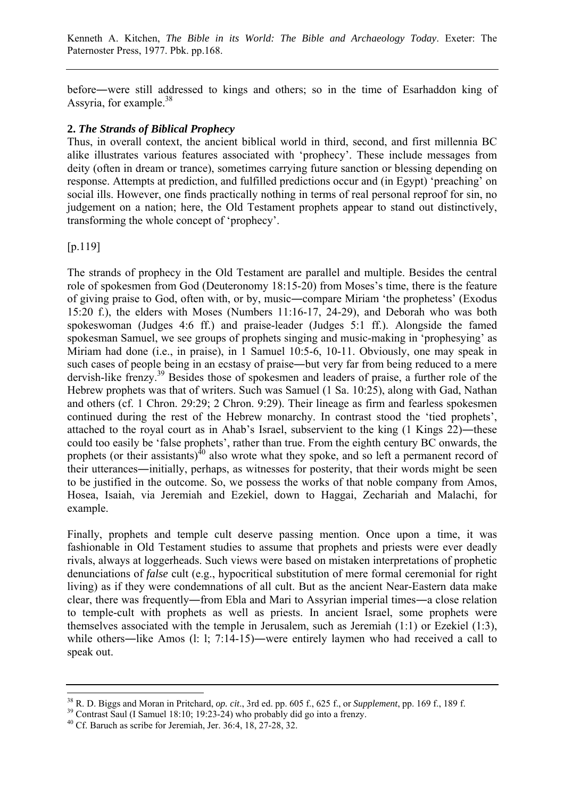before―were still addressed to kings and others; so in the time of Esarhaddon king of Assyria, for example. $38$ 

#### **2.** *The Strands of Biblical Prophecy*

Thus, in overall context, the ancient biblical world in third, second, and first millennia BC alike illustrates various features associated with 'prophecy'. These include messages from deity (often in dream or trance), sometimes carrying future sanction or blessing depending on response. Attempts at prediction, and fulfilled predictions occur and (in Egypt) 'preaching' on social ills. However, one finds practically nothing in terms of real personal reproof for sin, no judgement on a nation; here, the Old Testament prophets appear to stand out distinctively, transforming the whole concept of 'prophecy'.

[p.119]

 $\overline{a}$ 

The strands of prophecy in the Old Testament are parallel and multiple. Besides the central role of spokesmen from God (Deuteronomy 18:15-20) from Moses's time, there is the feature of giving praise to God, often with, or by, music―compare Miriam 'the prophetess' (Exodus 15:20 f.), the elders with Moses (Numbers 11:16-17, 24-29), and Deborah who was both spokeswoman (Judges 4:6 ff.) and praise-leader (Judges 5:1 ff.). Alongside the famed spokesman Samuel, we see groups of prophets singing and music-making in 'prophesying' as Miriam had done (i.e., in praise), in 1 Samuel 10:5-6, 10-11. Obviously, one may speak in such cases of people being in an ecstasy of praise―but very far from being reduced to a mere dervish-like frenzy.<sup>39</sup> Besides those of spokesmen and leaders of praise, a further role of the Hebrew prophets was that of writers. Such was Samuel (1 Sa. 10:25), along with Gad, Nathan and others (cf. 1 Chron. 29:29; 2 Chron. 9:29). Their lineage as firm and fearless spokesmen continued during the rest of the Hebrew monarchy. In contrast stood the 'tied prophets', attached to the royal court as in Ahab's Israel, subservient to the king (1 Kings 22)―these could too easily be 'false prophets', rather than true. From the eighth century BC onwards, the prophets (or their assistants)<sup>40</sup> also wrote what they spoke, and so left a permanent record of their utterances―initially, perhaps, as witnesses for posterity, that their words might be seen to be justified in the outcome. So, we possess the works of that noble company from Amos, Hosea, Isaiah, via Jeremiah and Ezekiel, down to Haggai, Zechariah and Malachi, for example.

Finally, prophets and temple cult deserve passing mention. Once upon a time, it was fashionable in Old Testament studies to assume that prophets and priests were ever deadly rivals, always at loggerheads. Such views were based on mistaken interpretations of prophetic denunciations of *false* cult (e.g., hypocritical substitution of mere formal ceremonial for right living) as if they were condemnations of all cult. But as the ancient Near-Eastern data make clear, there was frequently―from Ebla and Mari to Assyrian imperial times―a close relation to temple-cult with prophets as well as priests. In ancient Israel, some prophets were themselves associated with the temple in Jerusalem, such as Jeremiah (1:1) or Ezekiel (1:3), while others—like Amos (1: 1; 7:14-15)—were entirely laymen who had received a call to speak out.

<sup>&</sup>lt;sup>38</sup> R. D. Biggs and Moran in Pritchard, *op. cit.*, 3rd ed. pp. 605 f., 625 f., or *Supplement*, pp. 169 f., 189 f. <sup>39</sup> Contrast Saul (I Samuel 18:10; 19:23-24) who probably did go into a frenzy.

 $40$  Cf. Baruch as scribe for Jeremiah, Jer. 36:4, 18, 27-28, 32.